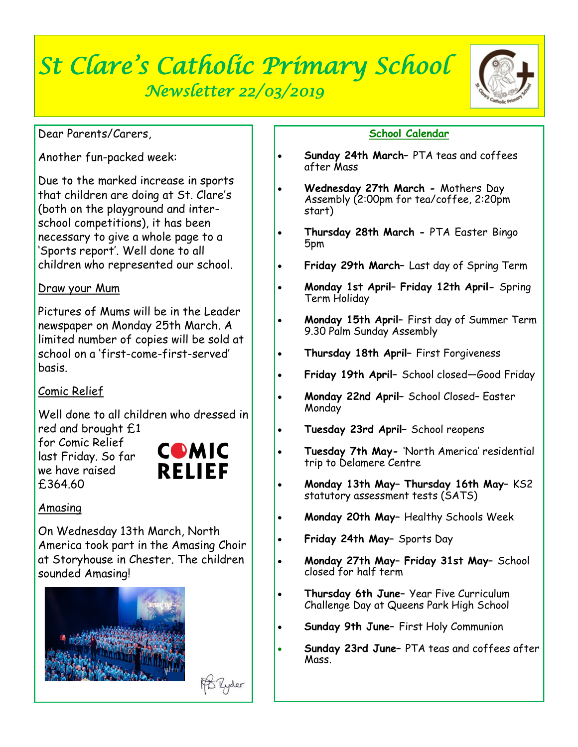# *St Clare's Catholic Primary School Newsletter 22/03/2019*



#### Dear Parents/Carers,

Another fun-packed week:

Due to the marked increase in sports that children are doing at St. Clare's (both on the playground and interschool competitions), it has been necessary to give a whole page to a 'Sports report'. Well done to all children who represented our school.

## Draw your Mum

Pictures of Mums will be in the Leader newspaper on Monday 25th March. A limited number of copies will be sold at school on a 'first-come-first-served' basis.

# Comic Relief

Well done to all children who dressed in red and brought £1

for Comic Relief last Friday. So far we have raised £364.60



**B Ryder** 

# Amasing

On Wednesday 13th March, North America took part in the Amasing Choir at Storyhouse in Chester. The children sounded Amasing!





- **Sunday 24th March–** PTA teas and coffees after Mass
- **Wednesday 27th March -** Mothers Day Assembly (2:00pm for tea/coffee, 2:20pm start)
- **Thursday 28th March -** PTA Easter Bingo 5pm
- **Friday 29th March–** Last day of Spring Term
- **Monday 1st April– Friday 12th April-** Spring Term Holiday
- **Monday 15th April–** First day of Summer Term 9.30 Palm Sunday Assembly
- **Thursday 18th April–** First Forgiveness
- **Friday 19th April–** School closed—Good Friday
- **Monday 22nd April–** School Closed– Easter Monday
- **Tuesday 23rd April–** School reopens
- **Tuesday 7th May-** 'North America' residential trip to Delamere Centre
- **Monday 13th May– Thursday 16th May–** KS2 statutory assessment tests (SATS)
- **Monday 20th May–** Healthy Schools Week
- **Friday 24th May–** Sports Day
- **Monday 27th May– Friday 31st May–** School closed for half term
- **Thursday 6th June–** Year Five Curriculum Challenge Day at Queens Park High School
- **Sunday 9th June–** First Holy Communion
- **Sunday 23rd June–** PTA teas and coffees after Mass.